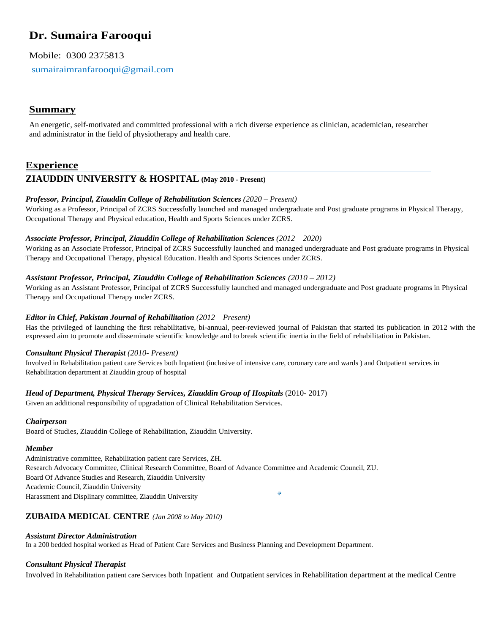# **Dr. Sumaira Farooqui**

Mobile: 0300 2375813

sumairaimranfarooqui@gmail.com

## **Summary**

An energetic, self-motivated and committed professional with a rich diverse experience as clinician, academician, researcher and administrator in the field of physiotherapy and health care.

## **Experience**

### **ZIAUDDIN UNIVERSITY & HOSPITAL (May 2010 - Present)**

### *Professor, Principal, Ziauddin College of Rehabilitation Sciences (2020 – Present)*

Working as a Professor, Principal of ZCRS Successfully launched and managed undergraduate and Post graduate programs in Physical Therapy, Occupational Therapy and Physical education, Health and Sports Sciences under ZCRS.

### *Associate Professor, Principal, Ziauddin College of Rehabilitation Sciences (2012 – 2020)*

Working as an Associate Professor, Principal of ZCRS Successfully launched and managed undergraduate and Post graduate programs in Physical Therapy and Occupational Therapy, physical Education. Health and Sports Sciences under ZCRS.

### *Assistant Professor, Principal, Ziauddin College of Rehabilitation Sciences (2010 – 2012)*

Working as an Assistant Professor, Principal of ZCRS Successfully launched and managed undergraduate and Post graduate programs in Physical Therapy and Occupational Therapy under ZCRS*.*

### *Editor in Chief, Pakistan Journal of Rehabilitation (2012 – Present)*

Has the privileged of launching the first rehabilitative, bi-annual, peer-reviewed journal of Pakistan that started its publication in 2012 with the expressed aim to promote and disseminate scientific knowledge and to break scientific inertia in the field of rehabilitation in Pakistan.

### *Consultant Physical Therapist (2010- Present)*

Involved in Rehabilitation patient care Services both Inpatient (inclusive of intensive care, coronary care and wards ) and Outpatient services in Rehabilitation department at Ziauddin group of hospital

### *Head of Department, Physical Therapy Services, Ziauddin Group of Hospitals (2010-2017)*

Given an additional responsibility of upgradation of Clinical Rehabilitation Services.

### *Chairperson*

Board of Studies, Ziauddin College of Rehabilitation, Ziauddin University.

### *Member*

Administrative committee, Rehabilitation patient care Services, ZH. Research Advocacy Committee, Clinical Research Committee, Board of Advance Committee and Academic Council, ZU. Board Of Advance Studies and Research, Ziauddin University Academic Council, Ziauddin University Harassment and Displinary committee, Ziauddin University

### **ZUBAIDA MEDICAL CENTRE** *(Jan 2008 to May 2010)*

### *Assistant Director Administration*

In a 200 bedded hospital worked as Head of Patient Care Services and Business Planning and Development Department.

### *Consultant Physical Therapist*

Involved in Rehabilitation patient care Services both Inpatient and Outpatient services in Rehabilitation department at the medical Centre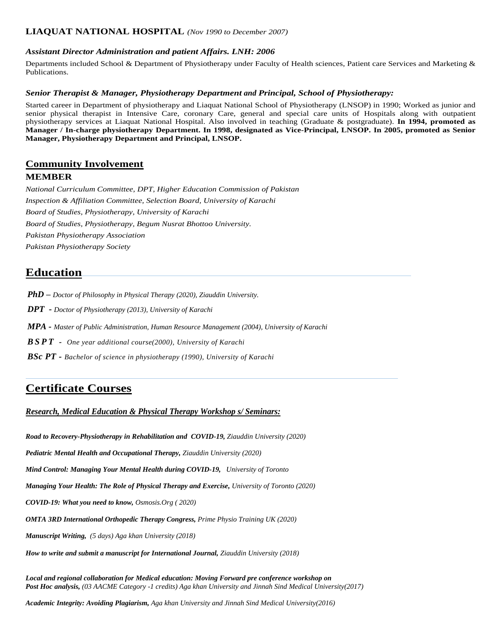### **LIAQUAT NATIONAL HOSPITAL** *(Nov 1990 to December 2007)*

### *Assistant Director Administration and patient Affairs. LNH: 2006*

Departments included School & Department of Physiotherapy under Faculty of Health sciences, Patient care Services and Marketing & Publications.

#### *Senior Therapist & Manager, Physiotherapy Department and Principal, School of Physiotherapy:*

Started career in Department of physiotherapy and Liaquat National School of Physiotherapy (LNSOP) in 1990; Worked as junior and senior physical therapist in Intensive Care, coronary Care, general and special care units of Hospitals along with outpatient physiotherapy services at Liaquat National Hospital. Also involved in teaching (Graduate & postgraduate). **In 1994, promoted as Manager / In-charge physiotherapy Department. In 1998, designated as Vice-Principal, LNSOP. In 2005, promoted as Senior Manager, Physiotherapy Department and Principal, LNSOP.**

### **Community Involvement MEMBER**

*National Curriculum Committee, DPT, Higher Education Commission of Pakistan Inspection & Affiliation Committee, Selection Board, University of Karachi Board of Studies, Physiotherapy, University of Karachi Board of Studies, Physiotherapy, Begum Nusrat Bhottoo University. Pakistan Physiotherapy Association Pakistan Physiotherapy Society*

# **Education**

*PhD – Doctor of Philosophy in Physical Therapy (2020), Ziauddin University.*

*DPT - Doctor of Physiotherapy (2013), University of Karachi*

*MPA - Master of Public Administration, Human Resource Management (2004), University of Karachi*

*B S P T - One year additional course(2000), University of Karachi* 

*BSc PT - Bachelor of science in physiotherapy (1990), University of Karachi*

# **Certificate Courses**

### *Research, Medical Education & Physical Therapy Workshop s/ Seminars:*

**Road to Recovery-Physiotherapy in Rehabilitation and COVID-19, Ziauddin University (2020)** 

*Pediatric Mental Health and Occupational Therapy, Ziauddin University (2020)*

*Mind Control: Managing Your Mental Health during COVID-19, University of Toronto*

*Managing Your Health: The Role of Physical Therapy and Exercise, University of Toronto (2020)*

*COVID-19: What you need to know, Osmosis.Org ( 2020)*

*OMTA 3RD International Orthopedic Therapy Congress, Prime Physio Training UK (2020)*

*Manuscript Writing, (5 days) Aga khan University (2018)*

*How to write and submit a manuscript for International Journal, Ziauddin University (2018)*

*Local and regional collaboration for Medical education: Moving Forward pre conference workshop on Post Hoc analysis, (03 AACME Category -1 credits) Aga khan University and Jinnah Sind Medical University(2017)*

*Academic Integrity: Avoiding Plagiarism, Aga khan University and Jinnah Sind Medical University(2016)*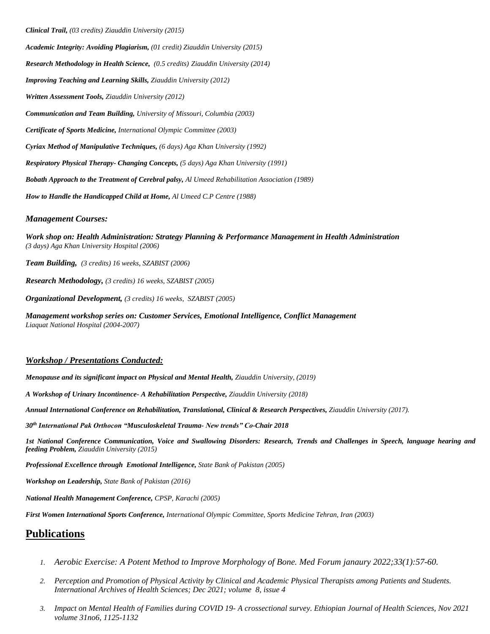*Clinical Trail, (03 credits) Ziauddin University (2015)*

*Academic Integrity: Avoiding Plagiarism, (01 credit) Ziauddin University (2015) Research Methodology in Health Science, (0.5 credits) Ziauddin University (2014) Improving Teaching and Learning Skills, Ziauddin University (2012) Written Assessment Tools, Ziauddin University (2012) Communication and Team Building, University of Missouri, Columbia (2003) Certificate of Sports Medicine, International Olympic Committee (2003) Cyriax Method of Manipulative Techniques, (6 days) Aga Khan University (1992) Respiratory Physical Therapy- Changing Concepts, (5 days) Aga Khan University (1991) Bobath Approach to the Treatment of Cerebral palsy, Al Umeed Rehabilitation Association (1989) How to Handle the Handicapped Child at Home, Al Umeed C.P Centre (1988)*

#### *Management Courses:*

*Work shop on: Health Administration: Strategy Planning & Performance Management in Health Administration (3 days) Aga Khan University Hospital (2006)*

*Team Building, (3 credits) 16 weeks, SZABIST (2006)*

*Research Methodology, (3 credits) 16 weeks, SZABIST (2005)*

*Organizational Development, (3 credits) 16 weeks, SZABIST (2005)*

*Management workshop series on: Customer Services, Emotional Intelligence, Conflict Management Liaquat National Hospital (2004-2007)*

### *Workshop / Presentations Conducted:*

*Menopause and its significant impact on Physical and Mental Health, Ziauddin University, (2019)*

*A Workshop of Urinary Incontinence- A Rehabilitation Perspective, Ziauddin University (2018)* 

*Annual International Conference on Rehabilitation, Translational, Clinical & Research Perspectives, Ziauddin University (2017).*

*30th International Pak Orthocon "Musculoskeletal Trauma- New trends" Co-Chair 2018* 

*1st National Conference Communication, Voice and Swallowing Disorders: Research, Trends and Challenges in Speech, language hearing and feeding Problem, Ziauddin University (2015)*

*Professional Excellence through Emotional Intelligence, State Bank of Pakistan (2005)*

*Workshop on Leadership, State Bank of Pakistan (2016)*

*National Health Management Conference, CPSP, Karachi (2005)*

*First Women International Sports Conference, International Olympic Committee, Sports Medicine Tehran, Iran (2003)*

## **Publications**

- *1. Aerobic Exercise: A Potent Method to Improve Morphology of Bone. Med Forum janaury 2022;33(1):57-60.*
- *2. Perception and Promotion of Physical Activity by Clinical and Academic Physical Therapists among Patients and Students. International Archives of Health Sciences; Dec 2021; volume 8, issue 4*
- *3. Impact on Mental Health of Families during COVID 19- A crossectional survey. Ethiopian Journal of Health Sciences, Nov 2021 volume 31no6, 1125-1132*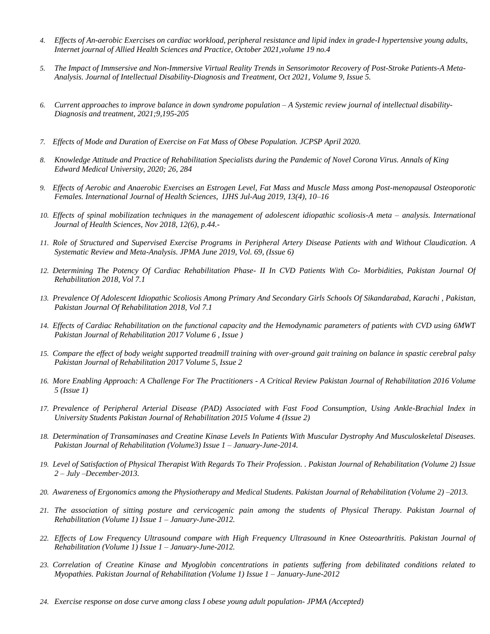- *4. Effects of An-aerobic Exercises on cardiac workload, peripheral resistance and lipid index in grade-I hypertensive young adults, Internet journal of Allied Health Sciences and Practice, October 2021,volume 19 no.4*
- *5. The Impact of Immsersive and Non-Immersive Virtual Reality Trends in Sensorimotor Recovery of Post-Stroke Patients-A Meta-Analysis. Journal of Intellectual Disability-Diagnosis and Treatment, Oct 2021, Volume 9, Issue 5.*
- *6. Current approaches to improve balance in down syndrome population – A Systemic review journal of intellectual disability-Diagnosis and treatment, 2021;9,195-205*
- *7. Effects of Mode and Duration of Exercise on Fat Mass of Obese Population. JCPSP April 2020.*
- *8. Knowledge Attitude and Practice of Rehabilitation Specialists during the Pandemic of Novel Corona Virus. Annals of King Edward Medical University, 2020; 26, 284*
- *9. Effects of Aerobic and Anaerobic Exercises an Estrogen Level, Fat Mass and Muscle Mass among Post-menopausal Osteoporotic Females. International Journal of Health Sciences, IJHS Jul-Aug 2019, 13(4), 10–16*
- *10. Effects of spinal mobilization techniques in the management of adolescent idiopathic scoliosis-A meta – analysis. International Journal of Health Sciences, Nov 2018, 12(6), p.44.-*
- *11. Role of Structured and Supervised Exercise Programs in Peripheral Artery Disease Patients with and Without Claudication. A Systematic Review and Meta-Analysis. JPMA June 2019, Vol. 69, (Issue 6)*
- *12. Determining The Potency Of Cardiac Rehabilitation Phase- II In CVD Patients With Co- Morbidities, Pakistan Journal Of Rehabilitation 2018, Vol 7.1*
- *13. Prevalence Of Adolescent Idiopathic Scoliosis Among Primary And Secondary Girls Schools Of Sikandarabad, Karachi , Pakistan, Pakistan Journal Of Rehabilitation 2018, Vol 7.1*
- *14. Effects of Cardiac Rehabilitation on the functional capacity and the Hemodynamic parameters of patients with CVD using 6MWT Pakistan Journal of Rehabilitation 2017 Volume 6 , Issue )*
- *15. Compare the effect of body weight supported treadmill training with over-ground gait training on balance in spastic cerebral palsy Pakistan Journal of Rehabilitation 2017 Volume 5, Issue 2*
- *16. More Enabling Approach: A Challenge For The Practitioners - A Critical Review Pakistan Journal of Rehabilitation 2016 Volume 5 (Issue 1)*
- *17. Prevalence of Peripheral Arterial Disease (PAD) Associated with Fast Food Consumption, Using Ankle-Brachial Index in University Students Pakistan Journal of Rehabilitation 2015 Volume 4 (Issue 2)*
- *18. Determination of Transaminases and Creatine Kinase Levels In Patients With Muscular Dystrophy And Musculoskeletal Diseases. Pakistan Journal of Rehabilitation (Volume3) Issue 1 – January-June-2014.*
- *19. Level of Satisfaction of Physical Therapist With Regards To Their Profession. . Pakistan Journal of Rehabilitation (Volume 2) Issue 2 – July –December-2013.*
- *20. Awareness of Ergonomics among the Physiotherapy and Medical Students. Pakistan Journal of Rehabilitation (Volume 2) –2013.*
- *21. The association of sitting posture and cervicogenic pain among the students of Physical Therapy. Pakistan Journal of Rehabilitation (Volume 1) Issue 1 – January-June-2012.*
- *22. Effects of Low Frequency Ultrasound compare with High Frequency Ultrasound in Knee Osteoarthritis. Pakistan Journal of Rehabilitation (Volume 1) Issue 1 – January-June-2012.*
- *23. Correlation of Creatine Kinase and Myoglobin concentrations in patients suffering from debilitated conditions related to Myopathies. Pakistan Journal of Rehabilitation (Volume 1) Issue 1 – January-June-2012*
- *24. Exercise response on dose curve among class I obese young adult population- JPMA (Accepted)*